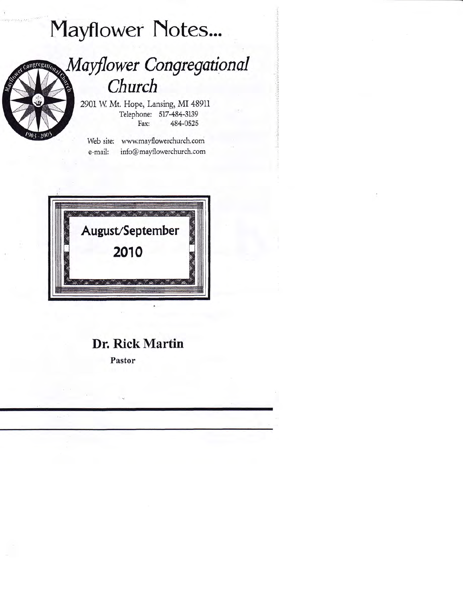# Mayflower Notes...

# Mayflower Congregational Church

2901 W. Mt. Hope, Lansing, MI 48911 Telephone: 5I7-484-3139 Fax:  $484 - 0525$ 

Web site: www.mayflowerchurch.com e-mail: info@mayflowerchurch.com



## Dr. Rick Martin

Pastor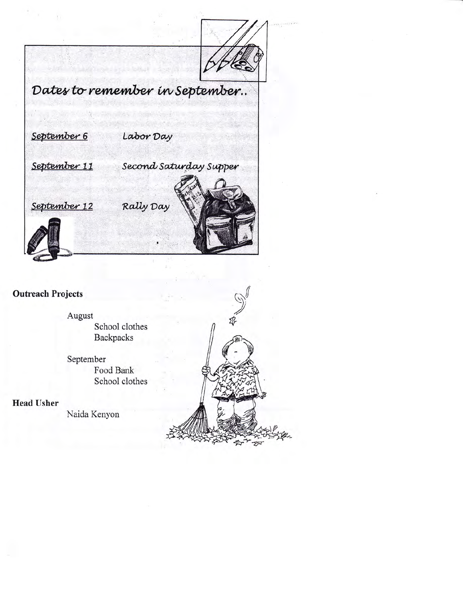

### Outreach Projects

August

School clothes **Backpacks** 

September Food Bank School clothes

Head Usher

Naida Kenyon

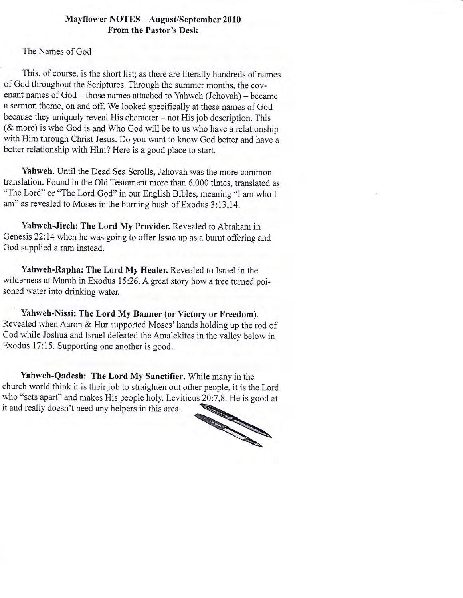### Mayflower NOTES - August/September <sup>2010</sup> From the Pastor's Desk

#### The Names of God

This, of course, is the short list; as there are literally hundreds of names of God throughout the Scriptures. Through the summer months, the covenant names of God - those names attached to Yahweh (Jehovah) - became a sermon theme, on and off. We looked specifically at these names of God because they uniquely reveal His character - not His job description. This (& more) is who God is and who God will be to us who have a relationship with Him through christ Jesus. Do you want to know God better and have <sup>a</sup> better relationship with Him? Here is a good place to start.

Yahweh. Until the Dead Sea Scrolls, Jehovah was the more common translation. Found in the old Testament more than 6,000 times, translated as "The Lord" or "The Lord God" in our English Bibles, meaning "I am who I am" as revealed to Moses in the burning bush of Exodus 3:13,14.

Yahweh-Jireh: The Lord My Provider. Revealed to Abraham in Genesis 22:14 when he was going to offer Issac up as a bumt offering and God supplied a ram instead.

Yahweh-Rapha: The Lord My Healer. Revealed to Israel in the wildemess at Marah in Exodus 15:26. A great story how a tree turned poisoned water into drinking water.

Yahweh-Nissi: The Lord My Banner (or Victory or Freedom). Revealed when Aaron & Hur supported Moses' hands holding up the rod of God while Joshua and Israel defeated the Amalekites in the vallev below in Exodus I7:I5. Supporting one another is good.

Yahweh-Qadesh: The Lord My Sanctifier. While many in the church world think it is their job to straighten out other people, it is the Lord who "sets apart" and makes His people holy. Leviticus 20:7,8. He is good at it and really doesn't need any helpers in this area. it and really doesn't need any helpers in this area.

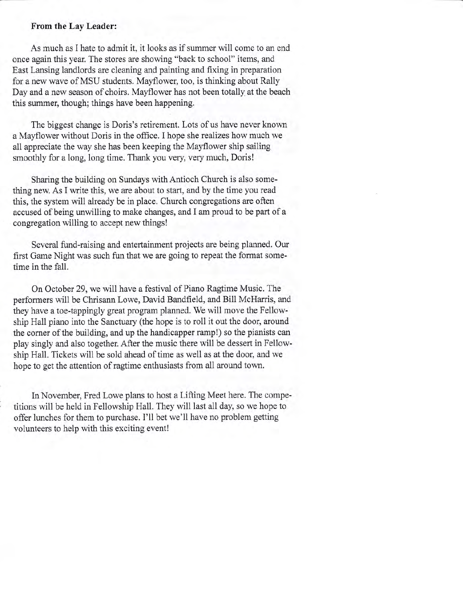#### From the Lay Leader:

As much as I hate to admit it, it looks as if summer will come to an end once again this year. The stores are showing "back to school" items, and East Lansing landlords are cleaning and painting and fixing in preparation for a new wave of MSU students. Mayflower, too, is thinking about Rally Day and a new season of choirs. Mayflower has not been totally. at the beach this summer, though; things have been happening.

The biggest change is Doris's retirement. Lots of us have never known a Mayflower without Doris in the office. I hope she realizes how much we all appreciate the way she has been keeping the Mayflower ship sailing smoothly for a long, long time. Thank you very, very much, Doris!

Sharing the building on Sundays with Antioch Church is also something new. As I write this, we are about to start, and by the time you read this, the system will already be in place. Church congregations are often accused of being unwilling to make changes, and I am proud to be part of a congregation willing to accept new things!

Several fund-raising and entertainment projects are being planned. Our first Game Night was such fun that we are going to repeat the format sometime in the fall.

On October 29, we will have a festival of Piano Ragtime Music. The performers will be Chrisann Lowe, David Bandfield, and Bill McHarris, and they have a toe-tappingly great program planned. We will move the Fellowship Hall piano into the Sanctuary (the hope is to roll it out the door, around the corner of the building, and up the handicapper ramp!) so the pianists can play singly and also together. After the music there will be dessert in Fellowship Hall. Tickets will be sold ahead of time as well as at the door, and we hope to get the attention of ragtime enthusiasts from all around town.

In November, Fred Lowe plans to host a Lifting Meet here. The competitions will be held in Fellowship Hall. They will last all day, so we hope to offer lunches for them to purchase. I'll bet we'll have no problem getting volunteers to help with this exciting event!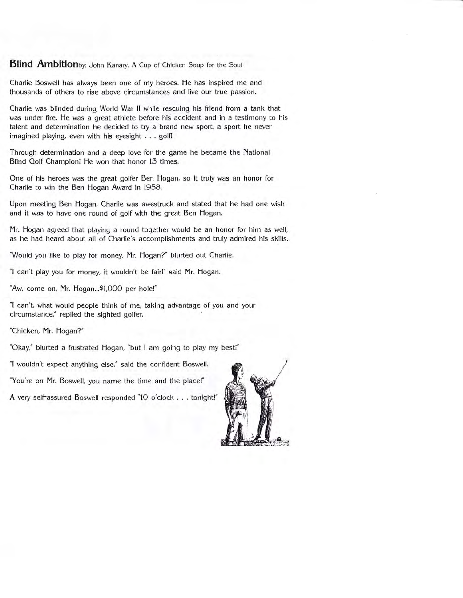**Blind Ambition**by: John Kanary, A Cup of Chicken Soup for the Soul

Charlie Boswell has always been one of my heroes. He has inspired me and thousands of others to rise above circumstances and live our true passion.

Charlie was blinded during World War ll while rescuing his lriend from a tank that was under fire. He was a great athlete before his accident and in a testimony to his talent and determination he decided to try a brand new sport, a sport he never imagined playing, even with his eyesight . . . golfl

Through determination and a deep love for the game he became the National Blind Golf Champion! He won that honor 13 times.

One of his heroes was the great golfer Ben Hogan, so it truly was an honor for Charlie to win the Ben Hogan Award in 1958.

Upon meeting Ben Hogan, Charlie was awestruck and slated that he had one wish and it was to have one round of golf with the great Ben Hogan.

Mr. Hogan agreed that playing a round together would be an honor for him as well, as he had heard about all of Charlie's accomplishments and truly admired his skills.

"Would you like to play for money, Mr. Hogan?' blurted out Charlie.

"I can't play you for money, it wouldn't be fair!" said Mr. Hogan.

"Aw, come on, Mr. Hogan...\$1,000 per hole!"

"l can'L whal would people think of me, baking advantage of you and your circumstance,' replied the sighted golfer.

"Chicken, Mr. Hogan?"

"Okay," blurted a frustrated Hogan, "but I am going to play my best!"

"I wouldn't expect anything else," said the confident Boswell.

"You're on Mr. Boswell, you name the time and the place!"

A very self'assured Boswell responded "lO o'clock . . . tonight!'

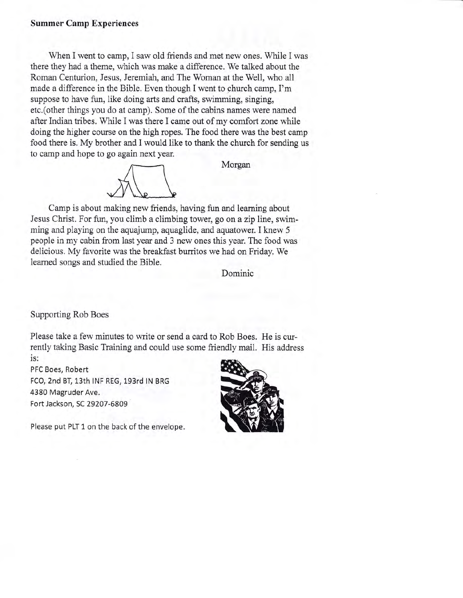### Summer Camp Experiences

When I went to camp, I saw old friends and met new ones. While I was there they had a theme, which was make a difference. We talked about the Roman Centurion, Jesus, Jeremiah, and The Woman at the Well, who all made a difference in the Bible. Even though I went to church camp, I'm suppose to have fun, like doing arts and crafts, swimming, singing, etc.(other things you do at camp). Some of the cabins names were named after Indian tribes. While I was there I came out of my comfort zone while doing the higher course on the high ropes. The food there was the best camp food there is. My brother and I would like to thank the church for sending us to camp and hope to go again next year.



Morgan

Camp is about making new friends, having fun and learning about Jesus Christ. For fun, you climb a climbing tower, go on a zip line, swimming and playing on the aquajump, aquaglide, and aquatower. I knew 5 people in my cabin from last year and 3 new ones this year. The food was delicious. My favorite was the breakfast burritos we had on Friday. We leamed songs and studied the Bible.

Dominic

#### Supporting Rob Boes

Please take a few minutes to write or send a card to Rob Boes. He is currently taking Basic Training and could use some friendly mail. His address is:

PFC Boes, Robert FCO, 2nd BI, 13th INF REG, 193rd lN BRG 4380 Magruder Ave. Fort Jackson, SC 29207-6809

Please put PLT 1 on the back of the envelope.

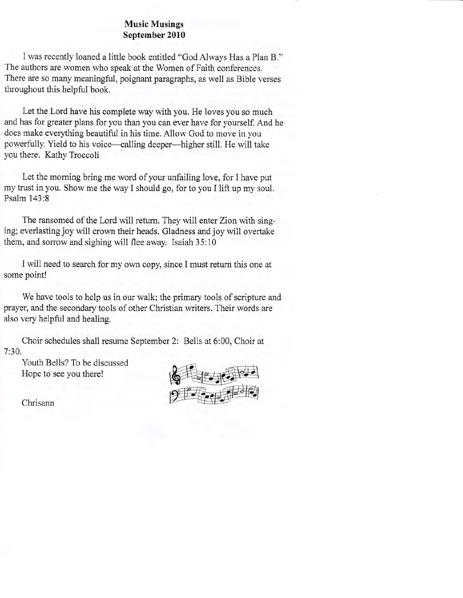### Music Musings September 2010

I was recently loaned a little book entitled "God Always Has a Plan B." The authors are women who speak at the Women of Faith conferences. There are so many meaningful, poignant paragraphs, as well as Bible verses throughout this helpful book.

Let the Lord have his complete way with you. He loves you so much and has for greater plans for you than you can ever have for yourself. And he does make everything beautiful in his time. Allow God to move in you powerfully. Yield to his voice—calling deeper—higher still. He will take you there. Kathy Troccoli

Let the morning bring me word of your unfailing love, for I have put my trust in you. Show me the way I should go, for to you I lift up my soul. Psalm 143:8

The ransomed of the Lord will return. They will enter Zion with singing; everlasting joy will crown their heads. Gladness and joy will overtake them, and sorrow and sighing will flee away. Isaiah 35:10

I will need to search for my own copy, since I must return this one at some point!

We have tools to help us in our walk; the primary tools of scripture and prayer, and the secondary tools of other Christian writers. Their words are also very helpful and healing.

Choir schedules shall resume September 2: Bells at 6:00, Choir at 7:30.

Youth Bells? To be discussed Hope to see you there!



Chrisann